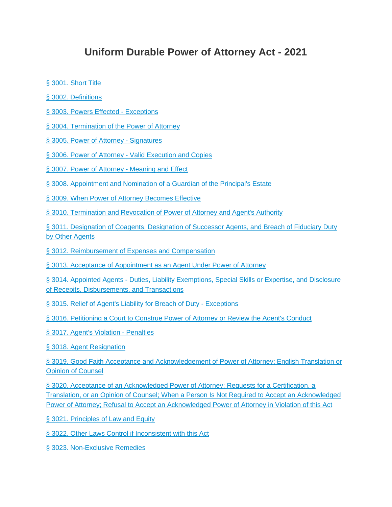## **Uniform Durable Power of Attorney Act - 2021**

- [§ 3001. Short Title](https://www.oscn.net/applications/oscn/DeliverDocument.asp?CiteID=489370)
- [§ 3002. Definitions](https://www.oscn.net/applications/oscn/DeliverDocument.asp?CiteID=489373)
- [§ 3003. Powers Effected -](https://www.oscn.net/applications/oscn/DeliverDocument.asp?CiteID=489374) Exceptions
- § 3004. Termination [of the Power of Attorney](https://www.oscn.net/applications/oscn/DeliverDocument.asp?CiteID=489376)
- [§ 3005. Power of Attorney -](https://www.oscn.net/applications/oscn/DeliverDocument.asp?CiteID=489378) Signatures
- § 3006. Power of Attorney [Valid Execution and Copies](https://www.oscn.net/applications/oscn/DeliverDocument.asp?CiteID=489383)
- [§ 3007. Power of Attorney -](https://www.oscn.net/applications/oscn/DeliverDocument.asp?CiteID=489384) Meaning and Effect
- [§ 3008. Appointment and Nomination of a Guardian of the Principal's Estate](https://www.oscn.net/applications/oscn/DeliverDocument.asp?CiteID=489385)
- [§ 3009. When Power of Attorney Becomes Effective](https://www.oscn.net/applications/oscn/DeliverDocument.asp?CiteID=489387)

[§ 3010. Termination and Revocation of Power of Attorney and Agent's Authority](https://www.oscn.net/applications/oscn/DeliverDocument.asp?CiteID=489388)

[§ 3011. Designation of Coagents, Designation of Successor Agents, and Breach of Fiduciary Duty](https://www.oscn.net/applications/oscn/DeliverDocument.asp?CiteID=489390)  [by Other Agents](https://www.oscn.net/applications/oscn/DeliverDocument.asp?CiteID=489390)

[§ 3012. Reimbursement of Expenses and Compensation](https://www.oscn.net/applications/oscn/DeliverDocument.asp?CiteID=489409)

[§ 3013. Acceptance of Appointment as an Agent Under Power of Attorney](https://www.oscn.net/applications/oscn/DeliverDocument.asp?CiteID=489410)

§ 3014. Appointed Agents - [Duties, Liability Exemptions, Special Skills or Expertise, and Disclosure](https://www.oscn.net/applications/oscn/DeliverDocument.asp?CiteID=489411)  [of Recepits, Disbursements, and Transactions](https://www.oscn.net/applications/oscn/DeliverDocument.asp?CiteID=489411)

[§ 3015. Relief of Agent's Liability for Breach of Duty -](https://www.oscn.net/applications/oscn/DeliverDocument.asp?CiteID=489412) Exceptions

[§ 3016. Petitioning a Court to Construe Power of Attorney or Review the Agent's Conduct](https://www.oscn.net/applications/oscn/DeliverDocument.asp?CiteID=489414)

[§ 3017. Agent's Violation -](https://www.oscn.net/applications/oscn/DeliverDocument.asp?CiteID=489415) Penalties

[§ 3018. Agent Resignation](https://www.oscn.net/applications/oscn/DeliverDocument.asp?CiteID=489417)

[§ 3019. Good Faith Acceptance and Acknowledgement of Power of Attorney; English Translation or](https://www.oscn.net/applications/oscn/DeliverDocument.asp?CiteID=489418)  [Opinion of Counsel](https://www.oscn.net/applications/oscn/DeliverDocument.asp?CiteID=489418)

[§ 3020. Acceptance of an Acknowledged Power of Attorney; Requests for a Certification, a](https://www.oscn.net/applications/oscn/DeliverDocument.asp?CiteID=489421)  [Translation, or an Opinion of Counsel; When a Person Is Not Required to Accept an Acknowledged](https://www.oscn.net/applications/oscn/DeliverDocument.asp?CiteID=489421)  [Power of Attorney; Refusal to Accept an Acknowledged Power of Attorney in Violation of this Act](https://www.oscn.net/applications/oscn/DeliverDocument.asp?CiteID=489421)

[§ 3021. Principles of Law and Equity](https://www.oscn.net/applications/oscn/DeliverDocument.asp?CiteID=489423)

[§ 3022. Other Laws Control if Inconsistent with this Act](https://www.oscn.net/applications/oscn/DeliverDocument.asp?CiteID=489424)

[§ 3023. Non-Exclusive Remedies](https://www.oscn.net/applications/oscn/DeliverDocument.asp?CiteID=489426)